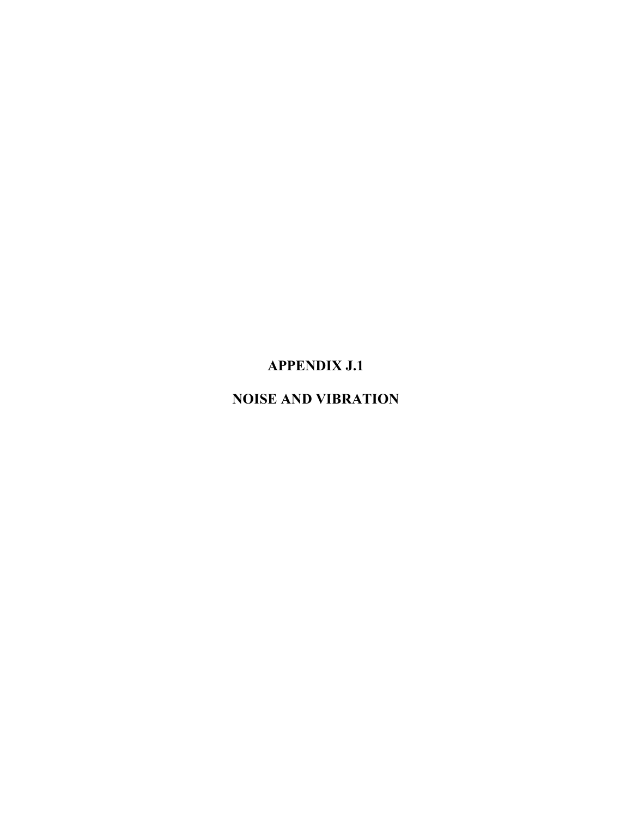# **APPENDIX J.1**

# **NOISE AND VIBRATION**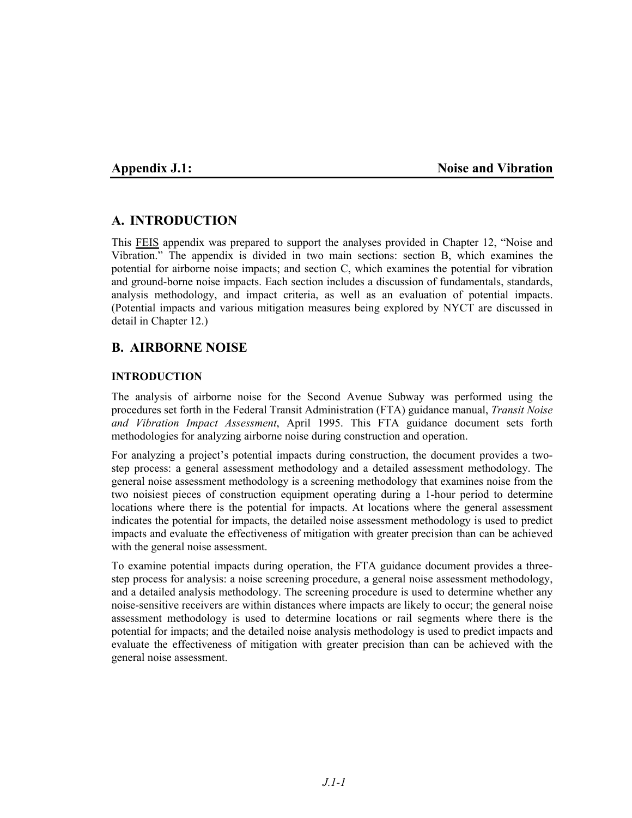### **Appendix J.1:** Noise and Vibration

## **A. INTRODUCTION**

This FEIS appendix was prepared to support the analyses provided in Chapter 12, "Noise and Vibration." The appendix is divided in two main sections: section B, which examines the potential for airborne noise impacts; and section C, which examines the potential for vibration and ground-borne noise impacts. Each section includes a discussion of fundamentals, standards, analysis methodology, and impact criteria, as well as an evaluation of potential impacts. (Potential impacts and various mitigation measures being explored by NYCT are discussed in detail in Chapter 12.)

# **B. AIRBORNE NOISE**

### **INTRODUCTION**

The analysis of airborne noise for the Second Avenue Subway was performed using the procedures set forth in the Federal Transit Administration (FTA) guidance manual, *Transit Noise and Vibration Impact Assessment*, April 1995. This FTA guidance document sets forth methodologies for analyzing airborne noise during construction and operation.

For analyzing a project's potential impacts during construction, the document provides a twostep process: a general assessment methodology and a detailed assessment methodology. The general noise assessment methodology is a screening methodology that examines noise from the two noisiest pieces of construction equipment operating during a 1-hour period to determine locations where there is the potential for impacts. At locations where the general assessment indicates the potential for impacts, the detailed noise assessment methodology is used to predict impacts and evaluate the effectiveness of mitigation with greater precision than can be achieved with the general noise assessment.

To examine potential impacts during operation, the FTA guidance document provides a threestep process for analysis: a noise screening procedure, a general noise assessment methodology, and a detailed analysis methodology. The screening procedure is used to determine whether any noise-sensitive receivers are within distances where impacts are likely to occur; the general noise assessment methodology is used to determine locations or rail segments where there is the potential for impacts; and the detailed noise analysis methodology is used to predict impacts and evaluate the effectiveness of mitigation with greater precision than can be achieved with the general noise assessment.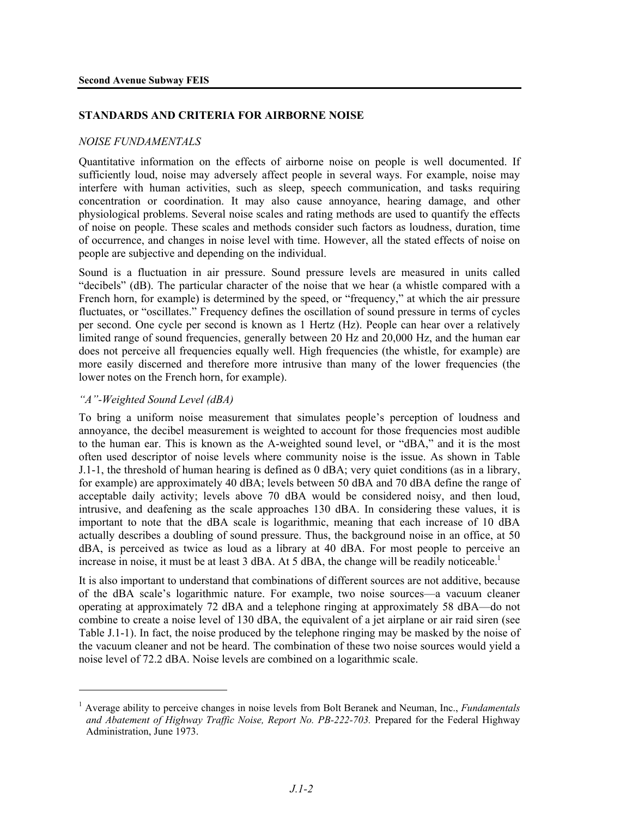### **STANDARDS AND CRITERIA FOR AIRBORNE NOISE**

### *NOISE FUNDAMENTALS*

Quantitative information on the effects of airborne noise on people is well documented. If sufficiently loud, noise may adversely affect people in several ways. For example, noise may interfere with human activities, such as sleep, speech communication, and tasks requiring concentration or coordination. It may also cause annoyance, hearing damage, and other physiological problems. Several noise scales and rating methods are used to quantify the effects of noise on people. These scales and methods consider such factors as loudness, duration, time of occurrence, and changes in noise level with time. However, all the stated effects of noise on people are subjective and depending on the individual.

Sound is a fluctuation in air pressure. Sound pressure levels are measured in units called "decibels" (dB). The particular character of the noise that we hear (a whistle compared with a French horn, for example) is determined by the speed, or "frequency," at which the air pressure fluctuates, or "oscillates." Frequency defines the oscillation of sound pressure in terms of cycles per second. One cycle per second is known as 1 Hertz (Hz). People can hear over a relatively limited range of sound frequencies, generally between 20 Hz and 20,000 Hz, and the human ear does not perceive all frequencies equally well. High frequencies (the whistle, for example) are more easily discerned and therefore more intrusive than many of the lower frequencies (the lower notes on the French horn, for example).

### *"A"-Weighted Sound Level (dBA)*

<u>.</u>

To bring a uniform noise measurement that simulates people's perception of loudness and annoyance, the decibel measurement is weighted to account for those frequencies most audible to the human ear. This is known as the A-weighted sound level, or "dBA," and it is the most often used descriptor of noise levels where community noise is the issue. As shown in Table J.1-1, the threshold of human hearing is defined as 0 dBA; very quiet conditions (as in a library, for example) are approximately 40 dBA; levels between 50 dBA and 70 dBA define the range of acceptable daily activity; levels above 70 dBA would be considered noisy, and then loud, intrusive, and deafening as the scale approaches 130 dBA. In considering these values, it is important to note that the dBA scale is logarithmic, meaning that each increase of 10 dBA actually describes a doubling of sound pressure. Thus, the background noise in an office, at 50 dBA, is perceived as twice as loud as a library at 40 dBA. For most people to perceive an increase in noise, it must be at least 3 dBA. At 5 dBA, the change will be readily noticeable.<sup>1</sup>

It is also important to understand that combinations of different sources are not additive, because of the dBA scale's logarithmic nature. For example, two noise sources—a vacuum cleaner operating at approximately 72 dBA and a telephone ringing at approximately 58 dBA—do not combine to create a noise level of 130 dBA, the equivalent of a jet airplane or air raid siren (see Table J.1-1). In fact, the noise produced by the telephone ringing may be masked by the noise of the vacuum cleaner and not be heard. The combination of these two noise sources would yield a noise level of 72.2 dBA. Noise levels are combined on a logarithmic scale.

<sup>&</sup>lt;sup>1</sup> Average ability to perceive changes in noise levels from Bolt Beranek and Neuman, Inc., *Fundamentals and Abatement of Highway Traffic Noise, Report No. PB-222-703.* Prepared for the Federal Highway Administration, June 1973.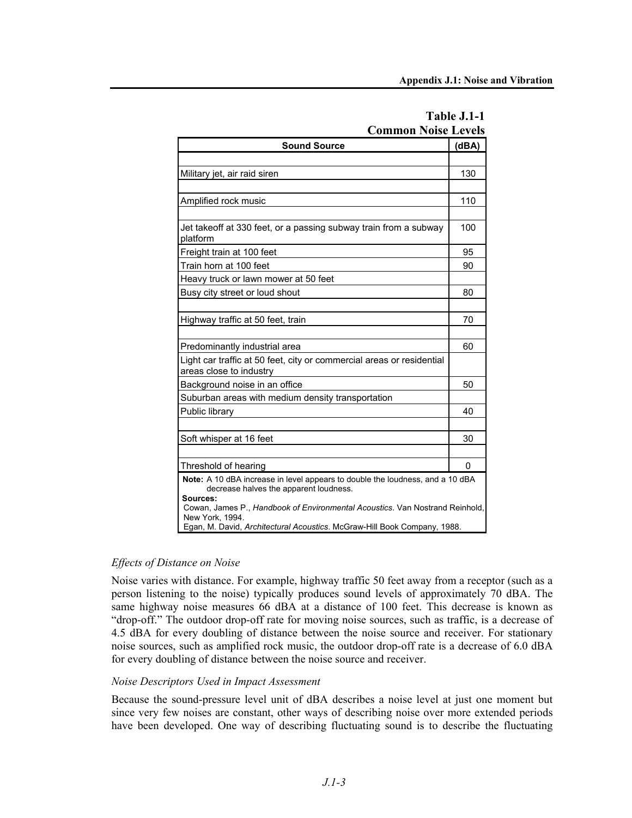| COMMON INDISE LEVEIS                                                                                                                |       |  |
|-------------------------------------------------------------------------------------------------------------------------------------|-------|--|
| <b>Sound Source</b>                                                                                                                 | (dBA) |  |
|                                                                                                                                     |       |  |
| Military jet, air raid siren                                                                                                        | 130   |  |
|                                                                                                                                     |       |  |
| Amplified rock music                                                                                                                | 110   |  |
|                                                                                                                                     |       |  |
| Jet takeoff at 330 feet, or a passing subway train from a subway<br>platform                                                        | 100   |  |
| Freight train at 100 feet                                                                                                           | 95    |  |
| Train horn at 100 feet                                                                                                              | 90    |  |
| Heavy truck or lawn mower at 50 feet                                                                                                |       |  |
| Busy city street or loud shout                                                                                                      | 80    |  |
|                                                                                                                                     |       |  |
| Highway traffic at 50 feet, train                                                                                                   | 70    |  |
|                                                                                                                                     |       |  |
| Predominantly industrial area                                                                                                       | 60    |  |
| Light car traffic at 50 feet, city or commercial areas or residential<br>areas close to industry                                    |       |  |
| Background noise in an office                                                                                                       | 50    |  |
| Suburban areas with medium density transportation                                                                                   |       |  |
| Public library                                                                                                                      | 40    |  |
|                                                                                                                                     |       |  |
| Soft whisper at 16 feet                                                                                                             | 30    |  |
|                                                                                                                                     |       |  |
| Threshold of hearing                                                                                                                | 0     |  |
| Note: A 10 dBA increase in level appears to double the loudness, and a 10 dBA<br>decrease halves the apparent loudness.<br>Sources: |       |  |
| Cowan, James P., Handbook of Environmental Acoustics. Van Nostrand Reinhold,<br>New York, 1994.                                     |       |  |
| Egan, M. David, Architectural Acoustics. McGraw-Hill Book Company, 1988.                                                            |       |  |

| Table J.1-1                |
|----------------------------|
| <b>Common Noise Levels</b> |

### *Effects of Distance on Noise*

Noise varies with distance. For example, highway traffic 50 feet away from a receptor (such as a person listening to the noise) typically produces sound levels of approximately 70 dBA. The same highway noise measures 66 dBA at a distance of 100 feet. This decrease is known as "drop-off." The outdoor drop-off rate for moving noise sources, such as traffic, is a decrease of 4.5 dBA for every doubling of distance between the noise source and receiver. For stationary noise sources, such as amplified rock music, the outdoor drop-off rate is a decrease of 6.0 dBA for every doubling of distance between the noise source and receiver.

### *Noise Descriptors Used in Impact Assessment*

Because the sound-pressure level unit of dBA describes a noise level at just one moment but since very few noises are constant, other ways of describing noise over more extended periods have been developed. One way of describing fluctuating sound is to describe the fluctuating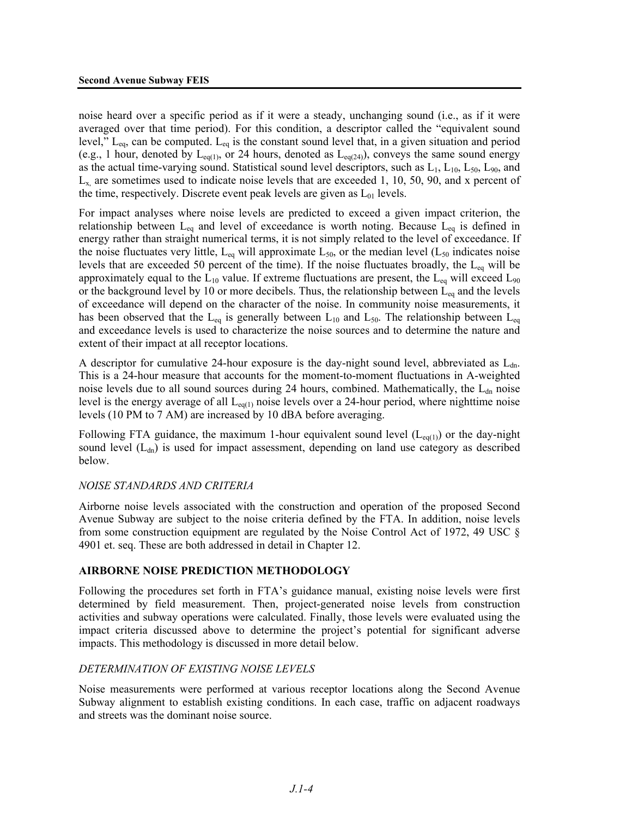noise heard over a specific period as if it were a steady, unchanging sound (i.e., as if it were averaged over that time period). For this condition, a descriptor called the "equivalent sound level,"  $L_{eq}$ , can be computed.  $L_{eq}$  is the constant sound level that, in a given situation and period (e.g., 1 hour, denoted by  $L_{eq(1)}$ , or 24 hours, denoted as  $L_{eq(24)}$ ), conveys the same sound energy as the actual time-varying sound. Statistical sound level descriptors, such as  $L_1$ ,  $L_{10}$ ,  $L_{50}$ ,  $L_{90}$ , and  $L<sub>x</sub>$ , are sometimes used to indicate noise levels that are exceeded 1, 10, 50, 90, and x percent of the time, respectively. Discrete event peak levels are given as  $L_{01}$  levels.

For impact analyses where noise levels are predicted to exceed a given impact criterion, the relationship between  $L_{eq}$  and level of exceedance is worth noting. Because  $L_{eq}$  is defined in energy rather than straight numerical terms, it is not simply related to the level of exceedance. If the noise fluctuates very little,  $L_{eq}$  will approximate  $L_{50}$ , or the median level ( $L_{50}$  indicates noise levels that are exceeded 50 percent of the time). If the noise fluctuates broadly, the  $L_{eq}$  will be approximately equal to the  $L_{10}$  value. If extreme fluctuations are present, the  $L_{eq}$  will exceed  $L_{90}$ or the background level by 10 or more decibels. Thus, the relationship between  $L_{eq}$  and the levels of exceedance will depend on the character of the noise. In community noise measurements, it has been observed that the L<sub>eq</sub> is generally between L<sub>10</sub> and L<sub>50</sub>. The relationship between L<sub>eq</sub> and exceedance levels is used to characterize the noise sources and to determine the nature and extent of their impact at all receptor locations.

A descriptor for cumulative 24-hour exposure is the day-night sound level, abbreviated as  $L_{dn}$ . This is a 24-hour measure that accounts for the moment-to-moment fluctuations in A-weighted noise levels due to all sound sources during 24 hours, combined. Mathematically, the  $L_{dn}$  noise level is the energy average of all  $L_{eq(1)}$  noise levels over a 24-hour period, where nighttime noise levels (10 PM to 7 AM) are increased by 10 dBA before averaging.

Following FTA guidance, the maximum 1-hour equivalent sound level  $(L_{eq(1)})$  or the day-night sound level  $(L<sub>dn</sub>)$  is used for impact assessment, depending on land use category as described below.

### *NOISE STANDARDS AND CRITERIA*

Airborne noise levels associated with the construction and operation of the proposed Second Avenue Subway are subject to the noise criteria defined by the FTA. In addition, noise levels from some construction equipment are regulated by the Noise Control Act of 1972, 49 USC § 4901 et. seq. These are both addressed in detail in Chapter 12.

### **AIRBORNE NOISE PREDICTION METHODOLOGY**

Following the procedures set forth in FTA's guidance manual, existing noise levels were first determined by field measurement. Then, project-generated noise levels from construction activities and subway operations were calculated. Finally, those levels were evaluated using the impact criteria discussed above to determine the project's potential for significant adverse impacts. This methodology is discussed in more detail below.

### *DETERMINATION OF EXISTING NOISE LEVELS*

Noise measurements were performed at various receptor locations along the Second Avenue Subway alignment to establish existing conditions. In each case, traffic on adjacent roadways and streets was the dominant noise source.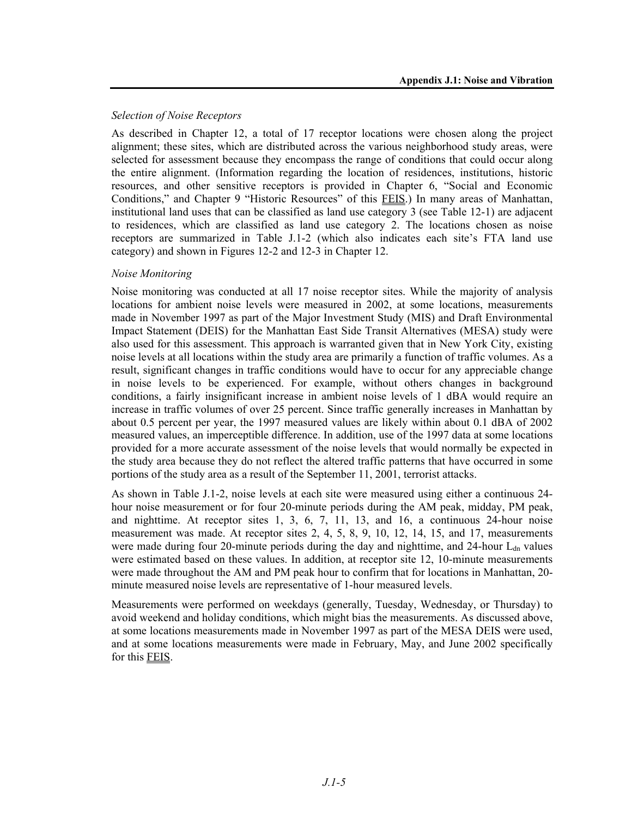### *Selection of Noise Receptors*

As described in Chapter 12, a total of 17 receptor locations were chosen along the project alignment; these sites, which are distributed across the various neighborhood study areas, were selected for assessment because they encompass the range of conditions that could occur along the entire alignment. (Information regarding the location of residences, institutions, historic resources, and other sensitive receptors is provided in Chapter 6, "Social and Economic Conditions," and Chapter 9 "Historic Resources" of this FEIS.) In many areas of Manhattan, institutional land uses that can be classified as land use category 3 (see Table 12-1) are adjacent to residences, which are classified as land use category 2. The locations chosen as noise receptors are summarized in Table J.1-2 (which also indicates each site's FTA land use category) and shown in Figures 12-2 and 12-3 in Chapter 12.

### *Noise Monitoring*

Noise monitoring was conducted at all 17 noise receptor sites. While the majority of analysis locations for ambient noise levels were measured in 2002, at some locations, measurements made in November 1997 as part of the Major Investment Study (MIS) and Draft Environmental Impact Statement (DEIS) for the Manhattan East Side Transit Alternatives (MESA) study were also used for this assessment. This approach is warranted given that in New York City, existing noise levels at all locations within the study area are primarily a function of traffic volumes. As a result, significant changes in traffic conditions would have to occur for any appreciable change in noise levels to be experienced. For example, without others changes in background conditions, a fairly insignificant increase in ambient noise levels of 1 dBA would require an increase in traffic volumes of over 25 percent. Since traffic generally increases in Manhattan by about 0.5 percent per year, the 1997 measured values are likely within about 0.1 dBA of 2002 measured values, an imperceptible difference. In addition, use of the 1997 data at some locations provided for a more accurate assessment of the noise levels that would normally be expected in the study area because they do not reflect the altered traffic patterns that have occurred in some portions of the study area as a result of the September 11, 2001, terrorist attacks.

As shown in Table J.1-2, noise levels at each site were measured using either a continuous 24 hour noise measurement or for four 20-minute periods during the AM peak, midday, PM peak, and nighttime. At receptor sites 1, 3, 6, 7, 11, 13, and 16, a continuous 24-hour noise measurement was made. At receptor sites 2, 4, 5, 8, 9, 10, 12, 14, 15, and 17, measurements were made during four 20-minute periods during the day and nighttime, and 24-hour  $L_{dn}$  values were estimated based on these values. In addition, at receptor site 12, 10-minute measurements were made throughout the AM and PM peak hour to confirm that for locations in Manhattan, 20 minute measured noise levels are representative of 1-hour measured levels.

Measurements were performed on weekdays (generally, Tuesday, Wednesday, or Thursday) to avoid weekend and holiday conditions, which might bias the measurements. As discussed above, at some locations measurements made in November 1997 as part of the MESA DEIS were used, and at some locations measurements were made in February, May, and June 2002 specifically for this FEIS.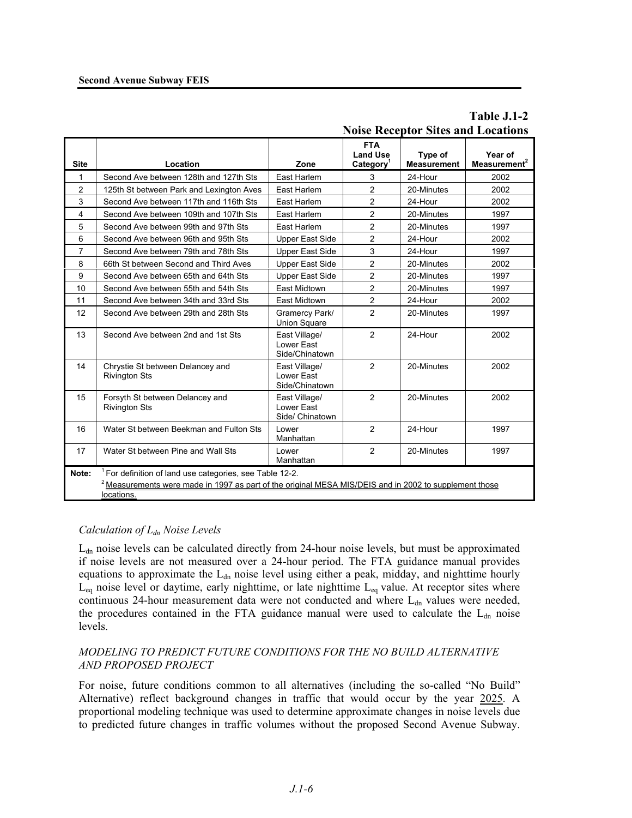|                |                                                                                                                                                                                   |                                                |                                                        | <b>Noise Receptor Sites and Locations</b> |                                     |
|----------------|-----------------------------------------------------------------------------------------------------------------------------------------------------------------------------------|------------------------------------------------|--------------------------------------------------------|-------------------------------------------|-------------------------------------|
| <b>Site</b>    | Location                                                                                                                                                                          | Zone                                           | <b>FTA</b><br><b>Land Use</b><br>Category <sup>1</sup> | Type of<br><b>Measurement</b>             | Year of<br>Measurement <sup>2</sup> |
| 1              | Second Ave between 128th and 127th Sts                                                                                                                                            | East Harlem                                    | 3                                                      | 24-Hour                                   | 2002                                |
| $\overline{2}$ | 125th St between Park and Lexington Aves                                                                                                                                          | East Harlem                                    | $\overline{2}$                                         | 20-Minutes                                | 2002                                |
| 3              | Second Ave between 117th and 116th Sts                                                                                                                                            | East Harlem                                    | $\overline{c}$                                         | 24-Hour                                   | 2002                                |
| $\overline{4}$ | Second Ave between 109th and 107th Sts                                                                                                                                            | East Harlem                                    | $\overline{2}$                                         | 20-Minutes                                | 1997                                |
| 5              | Second Ave between 99th and 97th Sts                                                                                                                                              | East Harlem                                    | $\overline{c}$                                         | 20-Minutes                                | 1997                                |
| 6              | Second Ave between 96th and 95th Sts                                                                                                                                              | Upper East Side                                | $\overline{2}$                                         | 24-Hour                                   | 2002                                |
| 7              | Second Ave between 79th and 78th Sts                                                                                                                                              | Upper East Side                                | 3                                                      | 24-Hour                                   | 1997                                |
| 8              | 66th St between Second and Third Aves                                                                                                                                             | Upper East Side                                | $\overline{2}$                                         | 20-Minutes                                | 2002                                |
| 9              | Second Ave between 65th and 64th Sts                                                                                                                                              | Upper East Side                                | $\overline{2}$                                         | 20-Minutes                                | 1997                                |
| 10             | Second Ave between 55th and 54th Sts                                                                                                                                              | <b>East Midtown</b>                            | $\overline{2}$                                         | 20-Minutes                                | 1997                                |
| 11             | Second Ave between 34th and 33rd Sts                                                                                                                                              | East Midtown                                   | $\overline{2}$                                         | 24-Hour                                   | 2002                                |
| 12             | Second Ave between 29th and 28th Sts                                                                                                                                              | Gramercy Park/<br>Union Square                 | $\overline{2}$                                         | 20-Minutes                                | 1997                                |
| 13             | Second Ave between 2nd and 1st Sts                                                                                                                                                | East Village/<br>Lower East<br>Side/Chinatown  | $\overline{2}$                                         | 24-Hour                                   | 2002                                |
| 14             | Chrystie St between Delancey and<br><b>Rivington Sts</b>                                                                                                                          | East Village/<br>Lower East<br>Side/Chinatown  | $\overline{2}$                                         | 20-Minutes                                | 2002                                |
| 15             | Forsyth St between Delancey and<br><b>Rivington Sts</b>                                                                                                                           | East Village/<br>Lower East<br>Side/ Chinatown | $\overline{2}$                                         | 20-Minutes                                | 2002                                |
| 16             | Water St between Beekman and Fulton Sts                                                                                                                                           | Lower<br>Manhattan                             | 2                                                      | 24-Hour                                   | 1997                                |
| 17             | Water St between Pine and Wall Sts                                                                                                                                                | Lower<br>Manhattan                             | $\overline{2}$                                         | 20-Minutes                                | 1997                                |
| Note:          | For definition of land use categories, see Table 12-2.<br>$^2$ Measurements were made in 1997 as part of the original MESA MIS/DEIS and in 2002 to supplement those<br>locations. |                                                |                                                        |                                           |                                     |

# **Table J.1-2 Noise Receptor Sites and Locations**

### *Calculation of Ldn Noise Levels*

L<sub>dn</sub> noise levels can be calculated directly from 24-hour noise levels, but must be approximated if noise levels are not measured over a 24-hour period. The FTA guidance manual provides equations to approximate the  $L_{dn}$  noise level using either a peak, midday, and nighttime hourly  $L_{eq}$  noise level or daytime, early nighttime, or late nighttime  $L_{eq}$  value. At receptor sites where continuous 24-hour measurement data were not conducted and where  $L_{dn}$  values were needed, the procedures contained in the FTA guidance manual were used to calculate the  $L<sub>dn</sub>$  noise levels.

### *MODELING TO PREDICT FUTURE CONDITIONS FOR THE NO BUILD ALTERNATIVE AND PROPOSED PROJECT*

For noise, future conditions common to all alternatives (including the so-called "No Build" Alternative) reflect background changes in traffic that would occur by the year 2025. A proportional modeling technique was used to determine approximate changes in noise levels due to predicted future changes in traffic volumes without the proposed Second Avenue Subway.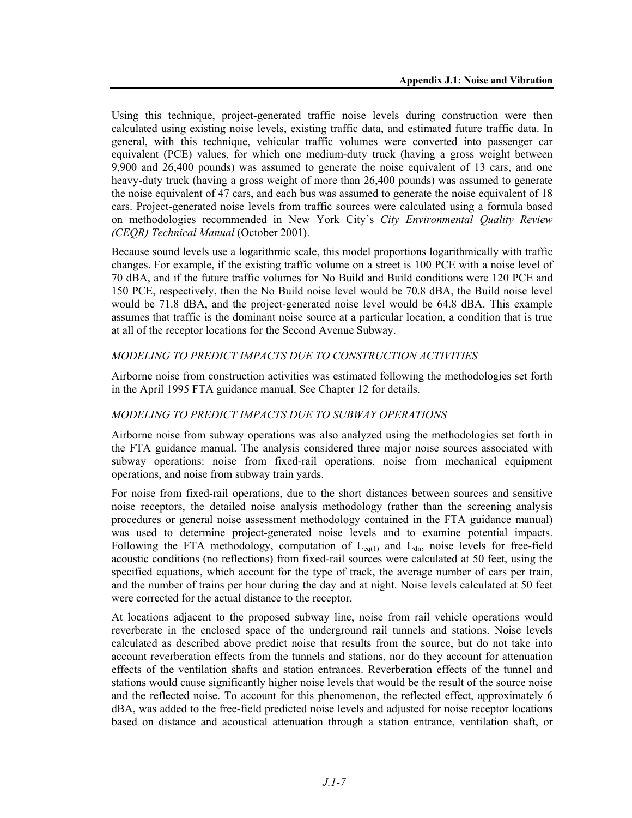Using this technique, project-generated traffic noise levels during construction were then calculated using existing noise levels, existing traffic data, and estimated future traffic data. In general, with this technique, vehicular traffic volumes were converted into passenger car equivalent (PCE) values, for which one medium-duty truck (having a gross weight between 9,900 and 26,400 pounds) was assumed to generate the noise equivalent of 13 cars, and one heavy-duty truck (having a gross weight of more than 26,400 pounds) was assumed to generate the noise equivalent of 47 cars, and each bus was assumed to generate the noise equivalent of 18 cars. Project-generated noise levels from traffic sources were calculated using a formula based on methodologies recommended in New York City's *City Environmental Quality Review (CEQR) Technical Manual* (October 2001).

Because sound levels use a logarithmic scale, this model proportions logarithmically with traffic changes. For example, if the existing traffic volume on a street is 100 PCE with a noise level of 70 dBA, and if the future traffic volumes for No Build and Build conditions were 120 PCE and 150 PCE, respectively, then the No Build noise level would be 70.8 dBA, the Build noise level would be 71.8 dBA, and the project-generated noise level would be 64.8 dBA. This example assumes that traffic is the dominant noise source at a particular location, a condition that is true at all of the receptor locations for the Second Avenue Subway.

### *MODELING TO PREDICT IMPACTS DUE TO CONSTRUCTION ACTIVITIES*

Airborne noise from construction activities was estimated following the methodologies set forth in the April 1995 FTA guidance manual. See Chapter 12 for details.

### *MODELING TO PREDICT IMPACTS DUE TO SUBWAY OPERATIONS*

Airborne noise from subway operations was also analyzed using the methodologies set forth in the FTA guidance manual. The analysis considered three major noise sources associated with subway operations: noise from fixed-rail operations, noise from mechanical equipment operations, and noise from subway train yards.

For noise from fixed-rail operations, due to the short distances between sources and sensitive noise receptors, the detailed noise analysis methodology (rather than the screening analysis procedures or general noise assessment methodology contained in the FTA guidance manual) was used to determine project-generated noise levels and to examine potential impacts. Following the FTA methodology, computation of  $L_{eq(1)}$  and  $L_{dn}$ , noise levels for free-field acoustic conditions (no reflections) from fixed-rail sources were calculated at 50 feet, using the specified equations, which account for the type of track, the average number of cars per train, and the number of trains per hour during the day and at night. Noise levels calculated at 50 feet were corrected for the actual distance to the receptor.

At locations adjacent to the proposed subway line, noise from rail vehicle operations would reverberate in the enclosed space of the underground rail tunnels and stations. Noise levels calculated as described above predict noise that results from the source, but do not take into account reverberation effects from the tunnels and stations, nor do they account for attenuation effects of the ventilation shafts and station entrances. Reverberation effects of the tunnel and stations would cause significantly higher noise levels that would be the result of the source noise and the reflected noise. To account for this phenomenon, the reflected effect, approximately 6 dBA, was added to the free-field predicted noise levels and adjusted for noise receptor locations based on distance and acoustical attenuation through a station entrance, ventilation shaft, or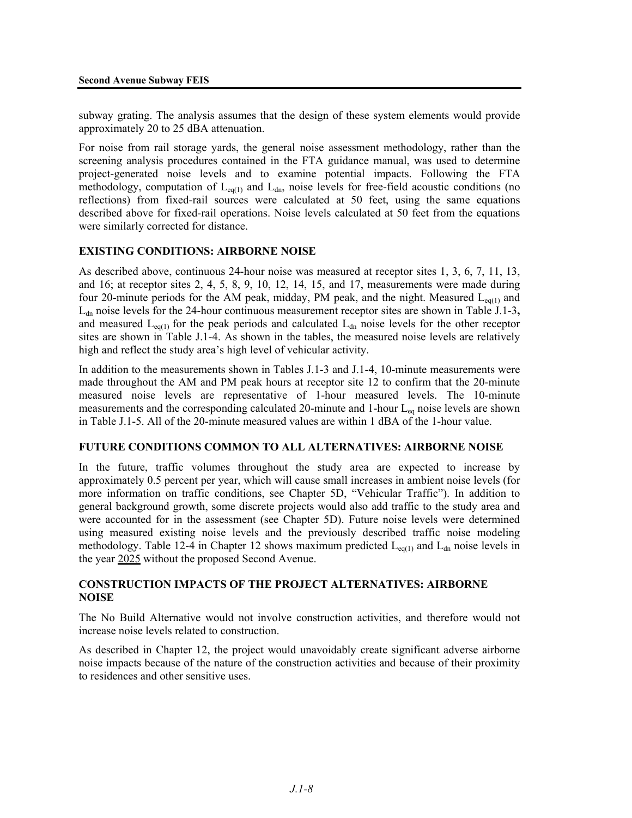subway grating. The analysis assumes that the design of these system elements would provide approximately 20 to 25 dBA attenuation.

For noise from rail storage yards, the general noise assessment methodology, rather than the screening analysis procedures contained in the FTA guidance manual, was used to determine project-generated noise levels and to examine potential impacts. Following the FTA methodology, computation of  $L_{eq(1)}$  and  $L_{dn}$ , noise levels for free-field acoustic conditions (no reflections) from fixed-rail sources were calculated at 50 feet, using the same equations described above for fixed-rail operations. Noise levels calculated at 50 feet from the equations were similarly corrected for distance.

### **EXISTING CONDITIONS: AIRBORNE NOISE**

As described above, continuous 24-hour noise was measured at receptor sites 1, 3, 6, 7, 11, 13, and 16; at receptor sites 2, 4, 5, 8, 9, 10, 12, 14, 15, and 17, measurements were made during four 20-minute periods for the AM peak, midday, PM peak, and the night. Measured  $L_{eq(1)}$  and L<sub>dn</sub> noise levels for the 24-hour continuous measurement receptor sites are shown in Table J.1-3, and measured  $L_{eq(1)}$  for the peak periods and calculated  $L_{dn}$  noise levels for the other receptor sites are shown in Table J.1-4. As shown in the tables, the measured noise levels are relatively high and reflect the study area's high level of vehicular activity.

In addition to the measurements shown in Tables J.1-3 and J.1-4, 10-minute measurements were made throughout the AM and PM peak hours at receptor site 12 to confirm that the 20-minute measured noise levels are representative of 1-hour measured levels. The 10-minute measurements and the corresponding calculated 20-minute and 1-hour L<sub>eq</sub> noise levels are shown in Table J.1-5. All of the 20-minute measured values are within 1 dBA of the 1-hour value.

### **FUTURE CONDITIONS COMMON TO ALL ALTERNATIVES: AIRBORNE NOISE**

In the future, traffic volumes throughout the study area are expected to increase by approximately 0.5 percent per year, which will cause small increases in ambient noise levels (for more information on traffic conditions, see Chapter 5D, "Vehicular Traffic"). In addition to general background growth, some discrete projects would also add traffic to the study area and were accounted for in the assessment (see Chapter 5D). Future noise levels were determined using measured existing noise levels and the previously described traffic noise modeling methodology. Table 12-4 in Chapter 12 shows maximum predicted  $L_{eq(1)}$  and  $L_{dn}$  noise levels in the year 2025 without the proposed Second Avenue.

### **CONSTRUCTION IMPACTS OF THE PROJECT ALTERNATIVES: AIRBORNE NOISE**

The No Build Alternative would not involve construction activities, and therefore would not increase noise levels related to construction.

As described in Chapter 12, the project would unavoidably create significant adverse airborne noise impacts because of the nature of the construction activities and because of their proximity to residences and other sensitive uses.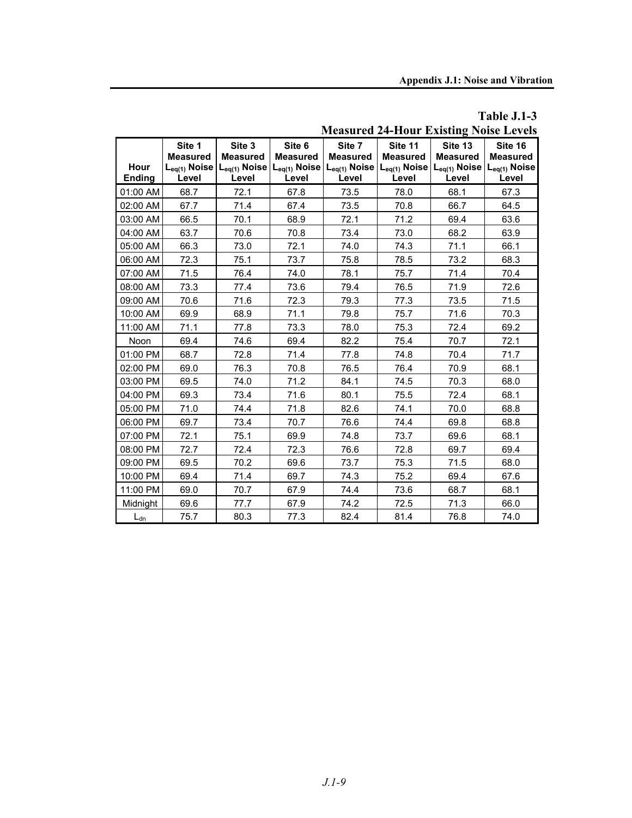| Measured 24-Hour Existing Folse Ecvels |                                                         |                                                         |                                    |                                                                           |                                     |                                                                             |                                                          |
|----------------------------------------|---------------------------------------------------------|---------------------------------------------------------|------------------------------------|---------------------------------------------------------------------------|-------------------------------------|-----------------------------------------------------------------------------|----------------------------------------------------------|
| Hour<br><b>Ending</b>                  | Site 1<br><b>Measured</b><br>$L_{eq(1)}$ Noise<br>Level | Site 3<br><b>Measured</b><br>$L_{eq(1)}$ Noise<br>Level | Site 6<br><b>Measured</b><br>Level | Site 7<br><b>Measured</b><br>$L_{eq(1)}$ Noise $L_{eq(1)}$ Noise<br>Level | Site 11<br><b>Measured</b><br>Level | Site 13<br><b>Measured</b><br>$L_{eq(1)}$ Noise $ L_{eq(1)}$ Noise<br>Level | Site 16<br><b>Measured</b><br>$L_{eq(1)}$ Noise<br>Level |
| 01:00 AM                               | 68.7                                                    | 72.1                                                    | 67.8                               | 73.5                                                                      | 78.0                                | 68.1                                                                        | 67.3                                                     |
| 02:00 AM                               | 67.7                                                    | 71.4                                                    | 67.4                               | 73.5                                                                      | 70.8                                | 66.7                                                                        | 64.5                                                     |
| 03:00 AM                               | 66.5                                                    | 70.1                                                    | 68.9                               | 72.1                                                                      | 71.2                                | 69.4                                                                        | 63.6                                                     |
| 04:00 AM                               | 63.7                                                    | 70.6                                                    | 70.8                               | 73.4                                                                      | 73.0                                | 68.2                                                                        | 63.9                                                     |
| 05:00 AM                               | 66.3                                                    | 73.0                                                    | 72.1                               | 74.0                                                                      | 74.3                                | 71.1                                                                        | 66.1                                                     |
| 06:00 AM                               | 72.3                                                    | 75.1                                                    | 73.7                               | 75.8                                                                      | 78.5                                | 73.2                                                                        | 68.3                                                     |
| 07:00 AM                               | 71.5                                                    | 76.4                                                    | 74.0                               | 78.1                                                                      | 75.7                                | 71.4                                                                        | 70.4                                                     |
| 08:00 AM                               | 73.3                                                    | 77.4                                                    | 73.6                               | 79.4                                                                      | 76.5                                | 71.9                                                                        | 72.6                                                     |
| 09:00 AM                               | 70.6                                                    | 71.6                                                    | 72.3                               | 79.3                                                                      | 77.3                                | 73.5                                                                        | 71.5                                                     |
| 10:00 AM                               | 69.9                                                    | 68.9                                                    | 71.1                               | 79.8                                                                      | 75.7                                | 71.6                                                                        | 70.3                                                     |
| 11:00 AM                               | 71.1                                                    | 77.8                                                    | 73.3                               | 78.0                                                                      | 75.3                                | 72.4                                                                        | 69.2                                                     |
| Noon                                   | 69.4                                                    | 74.6                                                    | 69.4                               | 82.2                                                                      | 75.4                                | 70.7                                                                        | 72.1                                                     |
| 01:00 PM                               | 68.7                                                    | 72.8                                                    | 71.4                               | 77.8                                                                      | 74.8                                | 70.4                                                                        | 71.7                                                     |
| 02:00 PM                               | 69.0                                                    | 76.3                                                    | 70.8                               | 76.5                                                                      | 76.4                                | 70.9                                                                        | 68.1                                                     |
| 03:00 PM                               | 69.5                                                    | 74.0                                                    | 71.2                               | 84.1                                                                      | 74.5                                | 70.3                                                                        | 68.0                                                     |
| 04:00 PM                               | 69.3                                                    | 73.4                                                    | 71.6                               | 80.1                                                                      | 75.5                                | 72.4                                                                        | 68.1                                                     |
| 05:00 PM                               | 71.0                                                    | 74.4                                                    | 71.8                               | 82.6                                                                      | 74.1                                | 70.0                                                                        | 68.8                                                     |
| 06:00 PM                               | 69.7                                                    | 73.4                                                    | 70.7                               | 76.6                                                                      | 74.4                                | 69.8                                                                        | 68.8                                                     |
| 07:00 PM                               | 72.1                                                    | 75.1                                                    | 69.9                               | 74.8                                                                      | 73.7                                | 69.6                                                                        | 68.1                                                     |
| 08:00 PM                               | 72.7                                                    | 72.4                                                    | 72.3                               | 76.6                                                                      | 72.8                                | 69.7                                                                        | 69.4                                                     |
| 09:00 PM                               | 69.5                                                    | 70.2                                                    | 69.6                               | 73.7                                                                      | 75.3                                | 71.5                                                                        | 68.0                                                     |
| 10:00 PM                               | 69.4                                                    | 71.4                                                    | 69.7                               | 74.3                                                                      | 75.2                                | 69.4                                                                        | 67.6                                                     |
| 11:00 PM                               | 69.0                                                    | 70.7                                                    | 67.9                               | 74.4                                                                      | 73.6                                | 68.7                                                                        | 68.1                                                     |
| Midnight                               | 69.6                                                    | 77.7                                                    | 67.9                               | 74.2                                                                      | 72.5                                | 71.3                                                                        | 66.0                                                     |
| $L_{dn}$                               | 75.7                                                    | 80.3                                                    | 77.3                               | 82.4                                                                      | 81.4                                | 76.8                                                                        | 74.0                                                     |

**Table J.1-3 Measured 24-Hour Existing Noise Levels**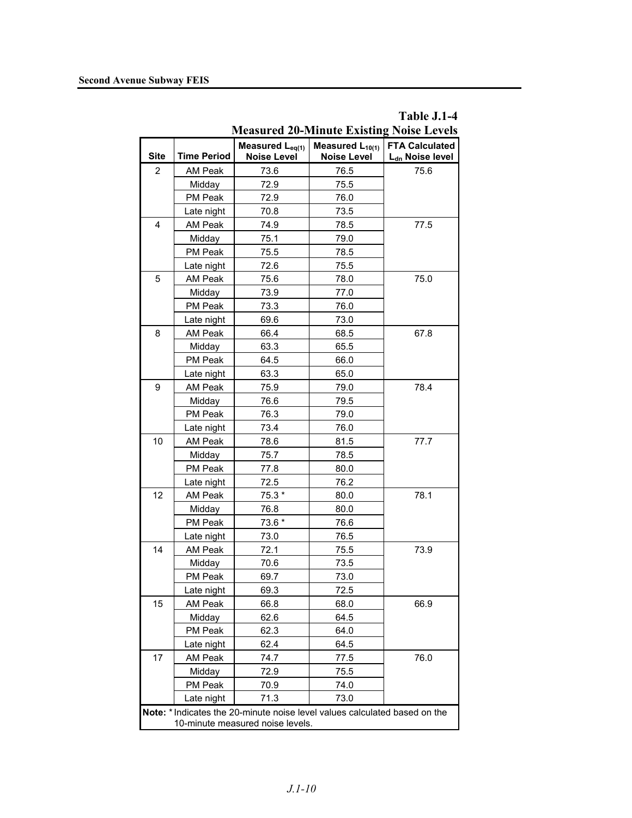| <b>Measured 20-Minute Existing Noise Levels</b>                                                                |                    |                                                   |                                            |                                                      |
|----------------------------------------------------------------------------------------------------------------|--------------------|---------------------------------------------------|--------------------------------------------|------------------------------------------------------|
| <b>Site</b>                                                                                                    | <b>Time Period</b> | Measured L <sub>eq(1)</sub><br><b>Noise Level</b> | Measured $L_{10(1)}$<br><b>Noise Level</b> | <b>FTA Calculated</b><br>L <sub>dn</sub> Noise level |
| $\overline{c}$                                                                                                 | AM Peak            | 73.6                                              | 76.5                                       | 75.6                                                 |
|                                                                                                                | Midday             | 72.9                                              | 75.5                                       |                                                      |
|                                                                                                                | PM Peak            | 72.9                                              | 76.0                                       |                                                      |
|                                                                                                                | Late night         | 70.8                                              | 73.5                                       |                                                      |
| 4                                                                                                              | AM Peak            | 74.9                                              | 78.5                                       | 77.5                                                 |
|                                                                                                                | Midday             | 75.1                                              | 79.0                                       |                                                      |
|                                                                                                                | PM Peak            | 75.5                                              | 78.5                                       |                                                      |
|                                                                                                                | Late night         | 72.6                                              | 75.5                                       |                                                      |
| 5                                                                                                              | AM Peak            | 75.6                                              | 78.0                                       | 75.0                                                 |
|                                                                                                                | Midday             | 73.9                                              | 77.0                                       |                                                      |
|                                                                                                                | PM Peak            | 73.3                                              | 76.0                                       |                                                      |
|                                                                                                                | Late night         | 69.6                                              | 73.0                                       |                                                      |
| 8                                                                                                              | AM Peak            | 66.4                                              | 68.5                                       | 67.8                                                 |
|                                                                                                                | Midday             | 63.3                                              | 65.5                                       |                                                      |
|                                                                                                                | PM Peak            | 64.5                                              | 66.0                                       |                                                      |
|                                                                                                                | Late night         | 63.3                                              | 65.0                                       |                                                      |
| 9                                                                                                              | AM Peak            | 75.9                                              | 79.0                                       | 78.4                                                 |
|                                                                                                                | Midday             | 76.6                                              | 79.5                                       |                                                      |
|                                                                                                                | PM Peak            | 76.3                                              | 79.0                                       |                                                      |
|                                                                                                                | Late night         | 73.4                                              | 76.0                                       |                                                      |
| 10                                                                                                             | AM Peak            | 78.6                                              | 81.5                                       | 77.7                                                 |
|                                                                                                                | Midday             | 75.7                                              | 78.5                                       |                                                      |
|                                                                                                                | PM Peak            | 77.8                                              | 80.0                                       |                                                      |
|                                                                                                                | Late night         | 72.5                                              | 76.2                                       |                                                      |
| 12                                                                                                             | AM Peak            | 75.3 *                                            | 80.0                                       | 78.1                                                 |
|                                                                                                                | Midday             | 76.8                                              | 80.0                                       |                                                      |
|                                                                                                                | PM Peak            | 73.6 *                                            | 76.6                                       |                                                      |
|                                                                                                                | Late night         | 73.0                                              | 76.5                                       |                                                      |
| 14                                                                                                             | AM Peak            | 72.1                                              | 75.5                                       | 73.9                                                 |
|                                                                                                                | Midday             | 70.6                                              | 73.5                                       |                                                      |
|                                                                                                                | PM Peak            | 69.7                                              | 73.0                                       |                                                      |
|                                                                                                                | Late night         | 69.3                                              | 72.5                                       |                                                      |
| 15                                                                                                             | AM Peak            | 66.8                                              | 68.0                                       | 66.9                                                 |
|                                                                                                                | Midday             | 62.6                                              | 64.5                                       |                                                      |
|                                                                                                                | PM Peak            | 62.3                                              | 64.0                                       |                                                      |
|                                                                                                                | Late night         | 62.4                                              | 64.5                                       |                                                      |
| 17                                                                                                             | AM Peak            | 74.7                                              | 77.5                                       | 76.0                                                 |
|                                                                                                                | Midday             | 72.9                                              | 75.5                                       |                                                      |
|                                                                                                                | PM Peak            | 70.9                                              | 74.0                                       |                                                      |
|                                                                                                                | Late night         | 71.3                                              | 73.0                                       |                                                      |
| Note: * Indicates the 20-minute noise level values calculated based on the<br>10-minute measured noise levels. |                    |                                                   |                                            |                                                      |

**Table J.1-4**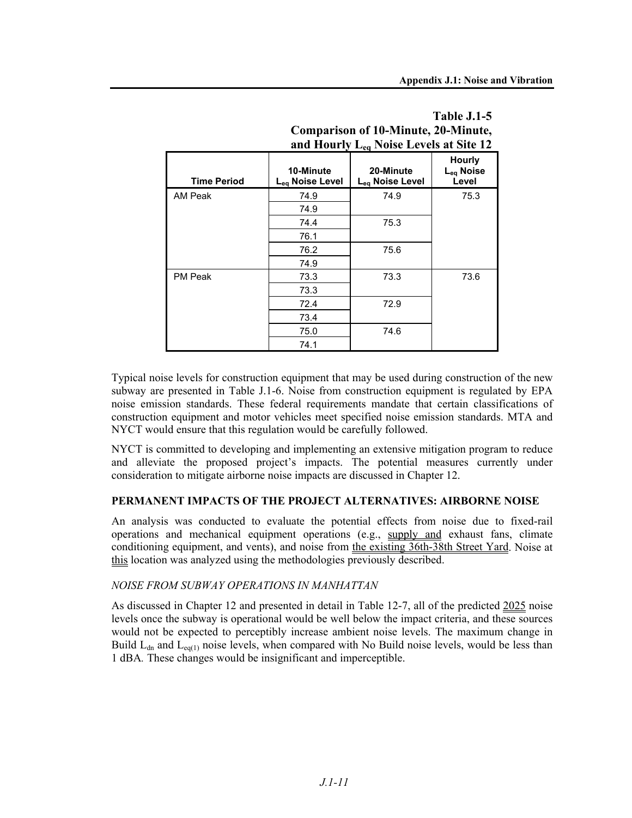|                    | and Hourly $L_{eq}$ Noise Levels at Site 12 |                              |                                          |  |
|--------------------|---------------------------------------------|------------------------------|------------------------------------------|--|
| <b>Time Period</b> | 10-Minute<br>Lea Noise Level                | 20-Minute<br>Lea Noise Level | Hourly<br>L <sub>eq</sub> Noise<br>Level |  |
| AM Peak            | 74.9                                        | 74.9                         | 75.3                                     |  |
|                    | 74.9                                        |                              |                                          |  |
|                    | 74.4                                        | 75.3                         |                                          |  |
|                    | 76.1                                        |                              |                                          |  |
|                    | 76.2                                        | 75.6                         |                                          |  |
|                    | 74.9                                        |                              |                                          |  |
| <b>PM Peak</b>     | 73.3                                        | 73.3                         | 73.6                                     |  |
|                    | 73.3                                        |                              |                                          |  |
|                    | 72.4                                        | 72.9                         |                                          |  |
|                    | 73.4                                        |                              |                                          |  |
|                    | 75.0                                        | 74.6                         |                                          |  |
|                    | 74.1                                        |                              |                                          |  |

# **Table J.1-5 Comparison of 10-Minute, 20-Minute,**

Typical noise levels for construction equipment that may be used during construction of the new subway are presented in Table J.1-6. Noise from construction equipment is regulated by EPA noise emission standards. These federal requirements mandate that certain classifications of construction equipment and motor vehicles meet specified noise emission standards. MTA and NYCT would ensure that this regulation would be carefully followed.

NYCT is committed to developing and implementing an extensive mitigation program to reduce and alleviate the proposed project's impacts. The potential measures currently under consideration to mitigate airborne noise impacts are discussed in Chapter 12.

### **PERMANENT IMPACTS OF THE PROJECT ALTERNATIVES: AIRBORNE NOISE**

An analysis was conducted to evaluate the potential effects from noise due to fixed-rail operations and mechanical equipment operations (e.g., supply and exhaust fans, climate conditioning equipment, and vents), and noise from the existing 36th-38th Street Yard. Noise at this location was analyzed using the methodologies previously described.

### *NOISE FROM SUBWAY OPERATIONS IN MANHATTAN*

As discussed in Chapter 12 and presented in detail in Table 12-7, all of the predicted 2025 noise levels once the subway is operational would be well below the impact criteria, and these sources would not be expected to perceptibly increase ambient noise levels. The maximum change in Build  $L_{dn}$  and  $L_{eq(1)}$  noise levels, when compared with No Build noise levels, would be less than 1 dBA*.* These changes would be insignificant and imperceptible.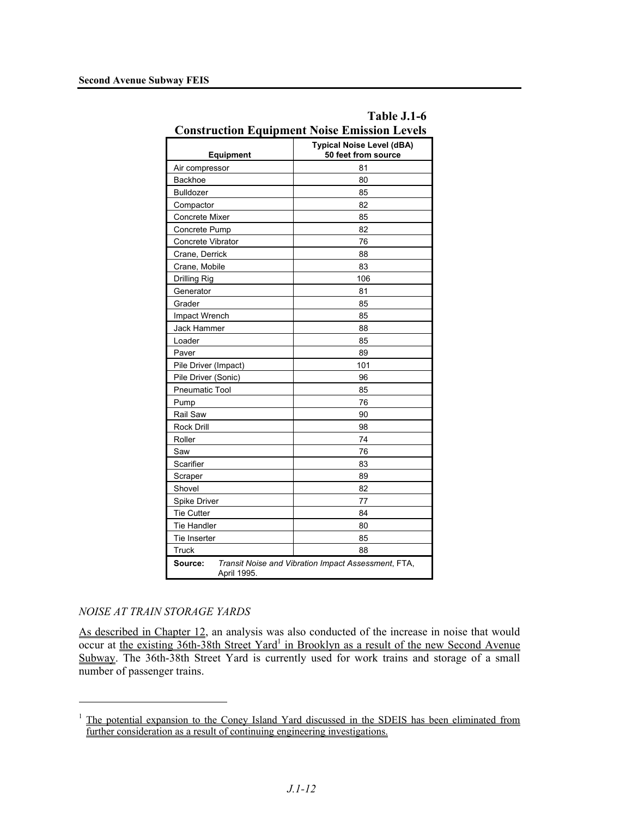| Construction Equipment Noise Emission Levels<br><b>Typical Noise Level (dBA)</b> |                     |  |  |
|----------------------------------------------------------------------------------|---------------------|--|--|
| <b>Equipment</b>                                                                 | 50 feet from source |  |  |
| Air compressor                                                                   | 81                  |  |  |
| <b>Backhoe</b>                                                                   | 80                  |  |  |
| <b>Bulldozer</b>                                                                 | 85                  |  |  |
| Compactor                                                                        | 82                  |  |  |
| <b>Concrete Mixer</b>                                                            | 85                  |  |  |
| Concrete Pump                                                                    | 82                  |  |  |
| Concrete Vibrator                                                                | 76                  |  |  |
| Crane, Derrick                                                                   | 88                  |  |  |
| Crane, Mobile                                                                    | 83                  |  |  |
| Drilling Rig                                                                     | 106                 |  |  |
| Generator                                                                        | 81                  |  |  |
| Grader                                                                           | 85                  |  |  |
| Impact Wrench                                                                    | 85                  |  |  |
| Jack Hammer                                                                      | 88                  |  |  |
| Loader                                                                           | 85                  |  |  |
| Paver                                                                            | 89                  |  |  |
| Pile Driver (Impact)                                                             | 101                 |  |  |
| Pile Driver (Sonic)                                                              | 96                  |  |  |
| Pneumatic Tool                                                                   | 85                  |  |  |
| Pump                                                                             | 76                  |  |  |
| Rail Saw                                                                         | 90                  |  |  |
| <b>Rock Drill</b>                                                                | 98                  |  |  |
| Roller                                                                           | 74                  |  |  |
| Saw                                                                              | 76                  |  |  |
| Scarifier                                                                        | 83                  |  |  |
| Scraper                                                                          | 89                  |  |  |
| Shovel                                                                           | 82                  |  |  |
| Spike Driver                                                                     | 77                  |  |  |
| <b>Tie Cutter</b>                                                                | 84                  |  |  |
| <b>Tie Handler</b>                                                               | 80                  |  |  |
| Tie Inserter<br>85                                                               |                     |  |  |
| <b>Truck</b><br>88                                                               |                     |  |  |
| Source:<br>Transit Noise and Vibration Impact Assessment, FTA,<br>April 1995.    |                     |  |  |

# **Table J.1-6 Construction Equipment Noise Emission Levels**

### *NOISE AT TRAIN STORAGE YARDS*

<u>.</u>

As described in Chapter 12, an analysis was also conducted of the increase in noise that would occur at the existing 36th-38th Street Yard<sup>1</sup> in Brooklyn as a result of the new Second Avenue Subway. The 36th-38th Street Yard is currently used for work trains and storage of a small number of passenger trains.

<sup>&</sup>lt;sup>1</sup> The potential expansion to the Coney Island Yard discussed in the SDEIS has been eliminated from further consideration as a result of continuing engineering investigations.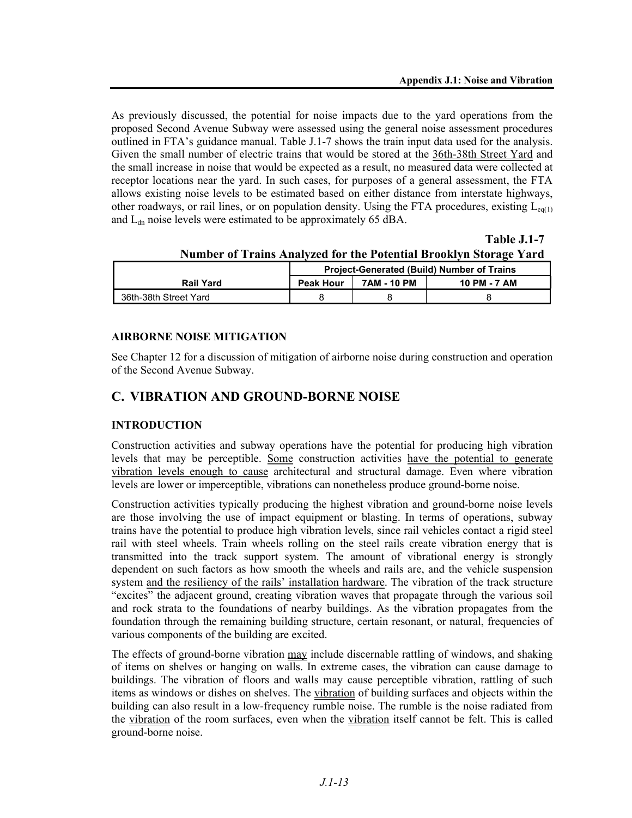**Table J.1-7**

As previously discussed, the potential for noise impacts due to the yard operations from the proposed Second Avenue Subway were assessed using the general noise assessment procedures outlined in FTA's guidance manual. Table J.1-7 shows the train input data used for the analysis. Given the small number of electric trains that would be stored at the 36th-38th Street Yard and the small increase in noise that would be expected as a result, no measured data were collected at receptor locations near the yard. In such cases, for purposes of a general assessment, the FTA allows existing noise levels to be estimated based on either distance from interstate highways, other roadways, or rail lines, or on population density. Using the FTA procedures, existing  $L_{eq(1)}$ and  $L_{dn}$  noise levels were estimated to be approximately 65 dBA.

**Number of Trains Analyzed for the Potential Brooklyn Storage Yard Project-Generated (Build) Number of Trains**  Rail Yard **Peak Hour 7AM - 10 PM 10 PM - 7 AM** 36th-38th Street Yard 8 8 8

### **AIRBORNE NOISE MITIGATION**

See Chapter 12 for a discussion of mitigation of airborne noise during construction and operation of the Second Avenue Subway.

### **C. VIBRATION AND GROUND-BORNE NOISE**

### **INTRODUCTION**

Construction activities and subway operations have the potential for producing high vibration levels that may be perceptible. Some construction activities have the potential to generate vibration levels enough to cause architectural and structural damage. Even where vibration levels are lower or imperceptible, vibrations can nonetheless produce ground-borne noise.

Construction activities typically producing the highest vibration and ground-borne noise levels are those involving the use of impact equipment or blasting. In terms of operations, subway trains have the potential to produce high vibration levels, since rail vehicles contact a rigid steel rail with steel wheels. Train wheels rolling on the steel rails create vibration energy that is transmitted into the track support system. The amount of vibrational energy is strongly dependent on such factors as how smooth the wheels and rails are, and the vehicle suspension system and the resiliency of the rails' installation hardware. The vibration of the track structure "excites" the adjacent ground, creating vibration waves that propagate through the various soil and rock strata to the foundations of nearby buildings. As the vibration propagates from the foundation through the remaining building structure, certain resonant, or natural, frequencies of various components of the building are excited.

The effects of ground-borne vibration may include discernable rattling of windows, and shaking of items on shelves or hanging on walls. In extreme cases, the vibration can cause damage to buildings. The vibration of floors and walls may cause perceptible vibration, rattling of such items as windows or dishes on shelves. The vibration of building surfaces and objects within the building can also result in a low-frequency rumble noise. The rumble is the noise radiated from the vibration of the room surfaces, even when the vibration itself cannot be felt. This is called ground-borne noise.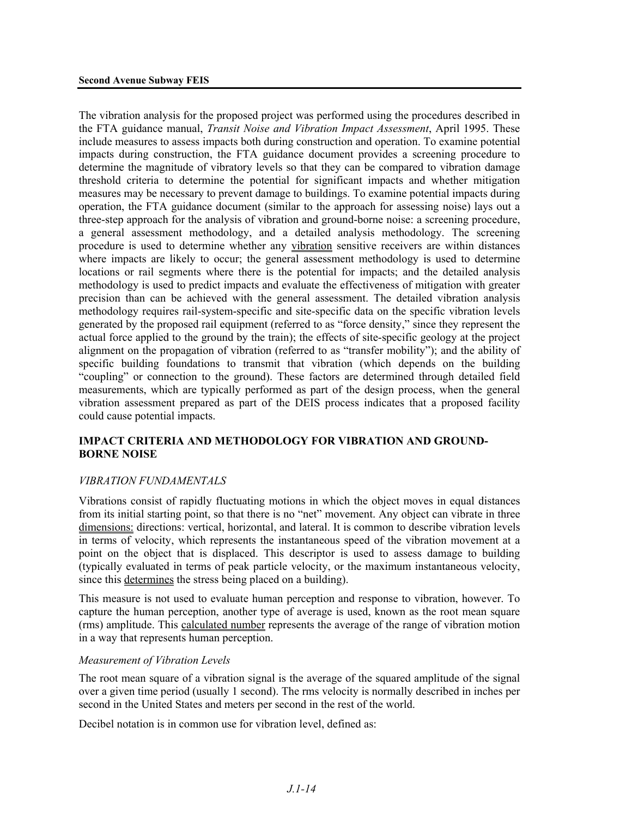The vibration analysis for the proposed project was performed using the procedures described in the FTA guidance manual, *Transit Noise and Vibration Impact Assessment*, April 1995. These include measures to assess impacts both during construction and operation. To examine potential impacts during construction, the FTA guidance document provides a screening procedure to determine the magnitude of vibratory levels so that they can be compared to vibration damage threshold criteria to determine the potential for significant impacts and whether mitigation measures may be necessary to prevent damage to buildings. To examine potential impacts during operation, the FTA guidance document (similar to the approach for assessing noise) lays out a three-step approach for the analysis of vibration and ground-borne noise: a screening procedure, a general assessment methodology, and a detailed analysis methodology. The screening procedure is used to determine whether any vibration sensitive receivers are within distances where impacts are likely to occur; the general assessment methodology is used to determine locations or rail segments where there is the potential for impacts; and the detailed analysis methodology is used to predict impacts and evaluate the effectiveness of mitigation with greater precision than can be achieved with the general assessment. The detailed vibration analysis methodology requires rail-system-specific and site-specific data on the specific vibration levels generated by the proposed rail equipment (referred to as "force density," since they represent the actual force applied to the ground by the train); the effects of site-specific geology at the project alignment on the propagation of vibration (referred to as "transfer mobility"); and the ability of specific building foundations to transmit that vibration (which depends on the building "coupling" or connection to the ground). These factors are determined through detailed field measurements, which are typically performed as part of the design process, when the general vibration assessment prepared as part of the DEIS process indicates that a proposed facility could cause potential impacts.

### **IMPACT CRITERIA AND METHODOLOGY FOR VIBRATION AND GROUND-BORNE NOISE**

### *VIBRATION FUNDAMENTALS*

Vibrations consist of rapidly fluctuating motions in which the object moves in equal distances from its initial starting point, so that there is no "net" movement. Any object can vibrate in three dimensions: directions: vertical, horizontal, and lateral. It is common to describe vibration levels in terms of velocity, which represents the instantaneous speed of the vibration movement at a point on the object that is displaced. This descriptor is used to assess damage to building (typically evaluated in terms of peak particle velocity, or the maximum instantaneous velocity, since this determines the stress being placed on a building).

This measure is not used to evaluate human perception and response to vibration, however. To capture the human perception, another type of average is used, known as the root mean square (rms) amplitude. This calculated number represents the average of the range of vibration motion in a way that represents human perception.

### *Measurement of Vibration Levels*

The root mean square of a vibration signal is the average of the squared amplitude of the signal over a given time period (usually 1 second). The rms velocity is normally described in inches per second in the United States and meters per second in the rest of the world.

Decibel notation is in common use for vibration level, defined as: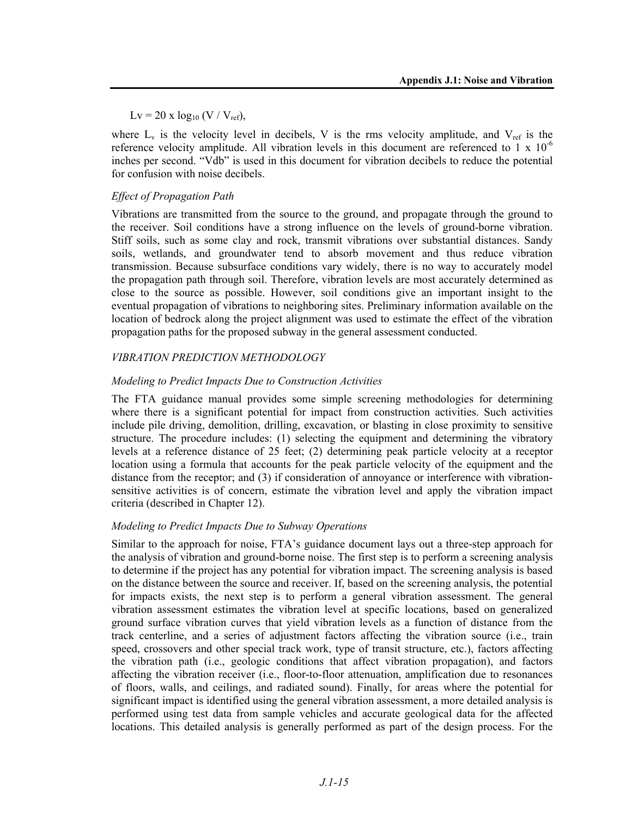$Lv = 20 \text{ x } log_{10} (V / V_{ref}),$ 

where  $L_v$  is the velocity level in decibels, V is the rms velocity amplitude, and  $V_{ref}$  is the reference velocity amplitude. All vibration levels in this document are referenced to 1 x  $10^{-6}$ inches per second. "Vdb" is used in this document for vibration decibels to reduce the potential for confusion with noise decibels.

### *Effect of Propagation Path*

Vibrations are transmitted from the source to the ground, and propagate through the ground to the receiver. Soil conditions have a strong influence on the levels of ground-borne vibration. Stiff soils, such as some clay and rock, transmit vibrations over substantial distances. Sandy soils, wetlands, and groundwater tend to absorb movement and thus reduce vibration transmission. Because subsurface conditions vary widely, there is no way to accurately model the propagation path through soil. Therefore, vibration levels are most accurately determined as close to the source as possible. However, soil conditions give an important insight to the eventual propagation of vibrations to neighboring sites. Preliminary information available on the location of bedrock along the project alignment was used to estimate the effect of the vibration propagation paths for the proposed subway in the general assessment conducted.

### *VIBRATION PREDICTION METHODOLOGY*

### *Modeling to Predict Impacts Due to Construction Activities*

The FTA guidance manual provides some simple screening methodologies for determining where there is a significant potential for impact from construction activities. Such activities include pile driving, demolition, drilling, excavation, or blasting in close proximity to sensitive structure. The procedure includes: (1) selecting the equipment and determining the vibratory levels at a reference distance of 25 feet; (2) determining peak particle velocity at a receptor location using a formula that accounts for the peak particle velocity of the equipment and the distance from the receptor; and (3) if consideration of annoyance or interference with vibrationsensitive activities is of concern, estimate the vibration level and apply the vibration impact criteria (described in Chapter 12).

### *Modeling to Predict Impacts Due to Subway Operations*

Similar to the approach for noise, FTA's guidance document lays out a three-step approach for the analysis of vibration and ground-borne noise. The first step is to perform a screening analysis to determine if the project has any potential for vibration impact. The screening analysis is based on the distance between the source and receiver. If, based on the screening analysis, the potential for impacts exists, the next step is to perform a general vibration assessment. The general vibration assessment estimates the vibration level at specific locations, based on generalized ground surface vibration curves that yield vibration levels as a function of distance from the track centerline, and a series of adjustment factors affecting the vibration source (i.e., train speed, crossovers and other special track work, type of transit structure, etc.), factors affecting the vibration path (i.e., geologic conditions that affect vibration propagation), and factors affecting the vibration receiver (i.e., floor-to-floor attenuation, amplification due to resonances of floors, walls, and ceilings, and radiated sound). Finally, for areas where the potential for significant impact is identified using the general vibration assessment, a more detailed analysis is performed using test data from sample vehicles and accurate geological data for the affected locations. This detailed analysis is generally performed as part of the design process. For the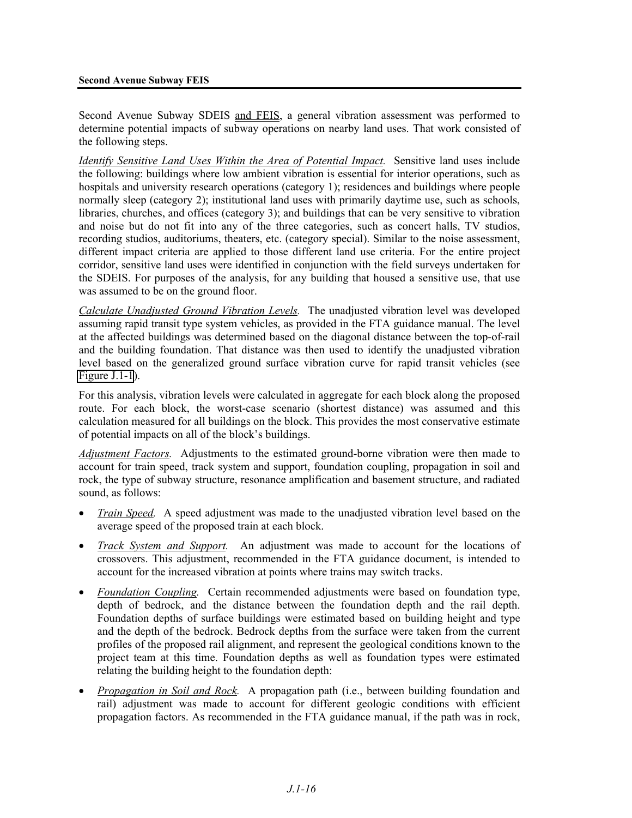Second Avenue Subway SDEIS and FEIS, a general vibration assessment was performed to determine potential impacts of subway operations on nearby land uses. That work consisted of the following steps.

*Identify Sensitive Land Uses Within the Area of Potential Impact.* Sensitive land uses include the following: buildings where low ambient vibration is essential for interior operations, such as hospitals and university research operations (category 1); residences and buildings where people normally sleep (category 2); institutional land uses with primarily daytime use, such as schools, libraries, churches, and offices (category 3); and buildings that can be very sensitive to vibration and noise but do not fit into any of the three categories, such as concert halls, TV studios, recording studios, auditoriums, theaters, etc. (category special). Similar to the noise assessment, different impact criteria are applied to those different land use criteria. For the entire project corridor, sensitive land uses were identified in conjunction with the field surveys undertaken for the SDEIS. For purposes of the analysis, for any building that housed a sensitive use, that use was assumed to be on the ground floor.

*Calculate Unadjusted Ground Vibration Levels.* The unadjusted vibration level was developed assuming rapid transit type system vehicles, as provided in the FTA guidance manual. The level at the affected buildings was determined based on the diagonal distance between the top-of-rail and the building foundation. That distance was then used to identify the unadjusted vibration level based on the generalized ground surface vibration curve for rapid transit vehicles (see Figure J.1-1).

For this analysis, vibration levels were calculated in aggregate for each block along the proposed route. For each block, the worst-case scenario (shortest distance) was assumed and this calculation measured for all buildings on the block. This provides the most conservative estimate of potential impacts on all of the block's buildings.

*Adjustment Factors.* Adjustments to the estimated ground-borne vibration were then made to account for train speed, track system and support, foundation coupling, propagation in soil and rock, the type of subway structure, resonance amplification and basement structure, and radiated sound, as follows:

- *Train Speed.* A speed adjustment was made to the unadjusted vibration level based on the average speed of the proposed train at each block.
- *Track System and Support.* An adjustment was made to account for the locations of crossovers. This adjustment, recommended in the FTA guidance document, is intended to account for the increased vibration at points where trains may switch tracks.
- *Foundation Coupling.* Certain recommended adjustments were based on foundation type, depth of bedrock, and the distance between the foundation depth and the rail depth. Foundation depths of surface buildings were estimated based on building height and type and the depth of the bedrock. Bedrock depths from the surface were taken from the current profiles of the proposed rail alignment, and represent the geological conditions known to the project team at this time. Foundation depths as well as foundation types were estimated relating the building height to the foundation depth:
- *Propagation in Soil and Rock.* A propagation path (i.e., between building foundation and rail) adjustment was made to account for different geologic conditions with efficient propagation factors. As recommended in the FTA guidance manual, if the path was in rock,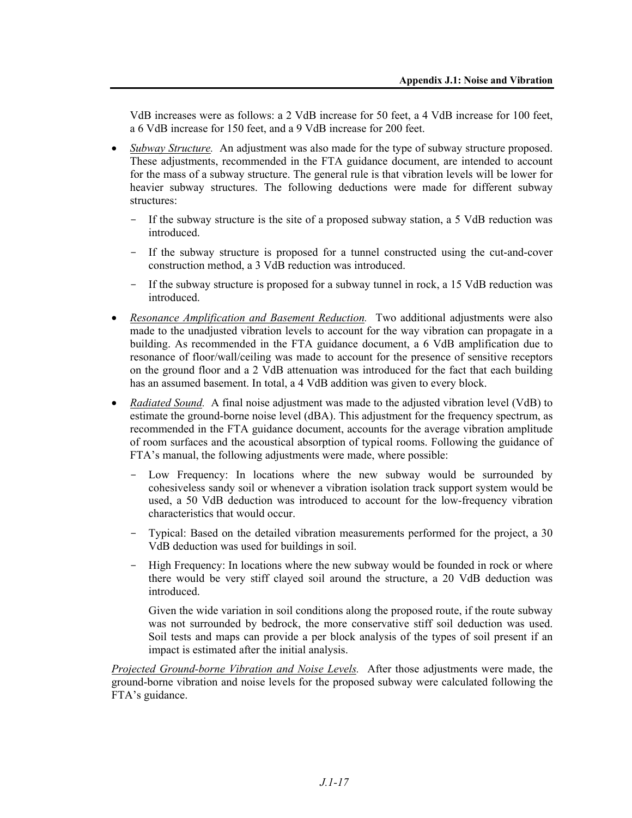VdB increases were as follows: a 2 VdB increase for 50 feet, a 4 VdB increase for 100 feet, a 6 VdB increase for 150 feet, and a 9 VdB increase for 200 feet.

- *Subway Structure.* An adjustment was also made for the type of subway structure proposed. These adjustments, recommended in the FTA guidance document, are intended to account for the mass of a subway structure. The general rule is that vibration levels will be lower for heavier subway structures. The following deductions were made for different subway structures:
	- If the subway structure is the site of a proposed subway station, a 5 VdB reduction was introduced.
	- If the subway structure is proposed for a tunnel constructed using the cut-and-cover construction method, a 3 VdB reduction was introduced.
	- If the subway structure is proposed for a subway tunnel in rock, a 15 VdB reduction was **introduced**
- *Resonance Amplification and Basement Reduction.* Two additional adjustments were also made to the unadjusted vibration levels to account for the way vibration can propagate in a building. As recommended in the FTA guidance document, a 6 VdB amplification due to resonance of floor/wall/ceiling was made to account for the presence of sensitive receptors on the ground floor and a 2 VdB attenuation was introduced for the fact that each building has an assumed basement. In total, a 4 VdB addition was given to every block.
- *Radiated Sound.* A final noise adjustment was made to the adjusted vibration level (VdB) to estimate the ground-borne noise level (dBA). This adjustment for the frequency spectrum, as recommended in the FTA guidance document, accounts for the average vibration amplitude of room surfaces and the acoustical absorption of typical rooms. Following the guidance of FTA's manual, the following adjustments were made, where possible:
	- Low Frequency: In locations where the new subway would be surrounded by cohesiveless sandy soil or whenever a vibration isolation track support system would be used, a 50 VdB deduction was introduced to account for the low-frequency vibration characteristics that would occur.
	- Typical: Based on the detailed vibration measurements performed for the project, a 30 VdB deduction was used for buildings in soil.
	- High Frequency: In locations where the new subway would be founded in rock or where there would be very stiff clayed soil around the structure, a 20 VdB deduction was introduced.

Given the wide variation in soil conditions along the proposed route, if the route subway was not surrounded by bedrock, the more conservative stiff soil deduction was used. Soil tests and maps can provide a per block analysis of the types of soil present if an impact is estimated after the initial analysis.

*Projected Ground-borne Vibration and Noise Levels.* After those adjustments were made, the ground-borne vibration and noise levels for the proposed subway were calculated following the FTA's guidance.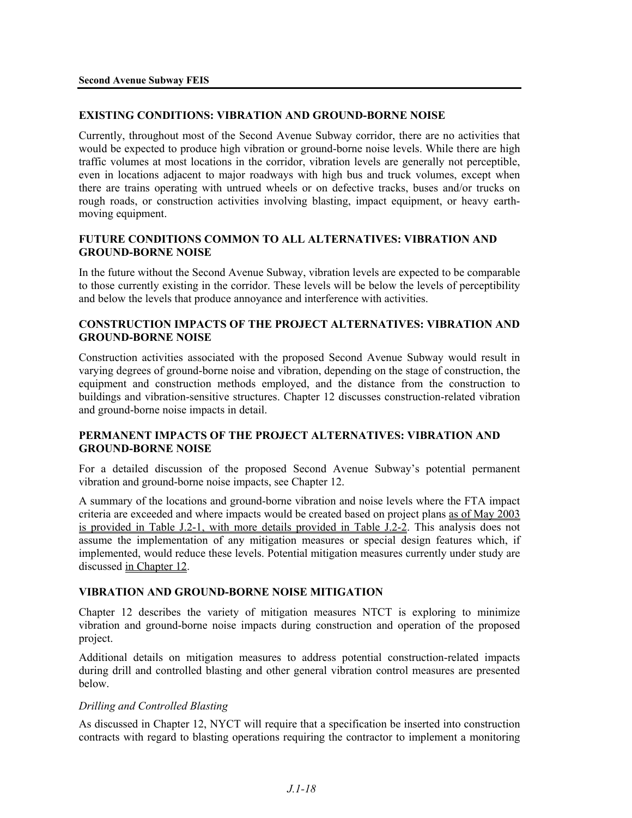### **EXISTING CONDITIONS: VIBRATION AND GROUND-BORNE NOISE**

Currently, throughout most of the Second Avenue Subway corridor, there are no activities that would be expected to produce high vibration or ground-borne noise levels. While there are high traffic volumes at most locations in the corridor, vibration levels are generally not perceptible, even in locations adjacent to major roadways with high bus and truck volumes, except when there are trains operating with untrued wheels or on defective tracks, buses and/or trucks on rough roads, or construction activities involving blasting, impact equipment, or heavy earthmoving equipment.

### **FUTURE CONDITIONS COMMON TO ALL ALTERNATIVES: VIBRATION AND GROUND-BORNE NOISE**

In the future without the Second Avenue Subway, vibration levels are expected to be comparable to those currently existing in the corridor. These levels will be below the levels of perceptibility and below the levels that produce annoyance and interference with activities.

### **CONSTRUCTION IMPACTS OF THE PROJECT ALTERNATIVES: VIBRATION AND GROUND-BORNE NOISE**

Construction activities associated with the proposed Second Avenue Subway would result in varying degrees of ground-borne noise and vibration, depending on the stage of construction, the equipment and construction methods employed, and the distance from the construction to buildings and vibration-sensitive structures. Chapter 12 discusses construction-related vibration and ground-borne noise impacts in detail.

### **PERMANENT IMPACTS OF THE PROJECT ALTERNATIVES: VIBRATION AND GROUND-BORNE NOISE**

For a detailed discussion of the proposed Second Avenue Subway's potential permanent vibration and ground-borne noise impacts, see Chapter 12.

A summary of the locations and ground-borne vibration and noise levels where the FTA impact criteria are exceeded and where impacts would be created based on project plans as of May 2003 is provided in Table J.2-1, with more details provided in Table J.2-2. This analysis does not assume the implementation of any mitigation measures or special design features which, if implemented, would reduce these levels. Potential mitigation measures currently under study are discussed in Chapter 12.

### **VIBRATION AND GROUND-BORNE NOISE MITIGATION**

Chapter 12 describes the variety of mitigation measures NTCT is exploring to minimize vibration and ground-borne noise impacts during construction and operation of the proposed project.

Additional details on mitigation measures to address potential construction-related impacts during drill and controlled blasting and other general vibration control measures are presented below.

### *Drilling and Controlled Blasting*

As discussed in Chapter 12, NYCT will require that a specification be inserted into construction contracts with regard to blasting operations requiring the contractor to implement a monitoring